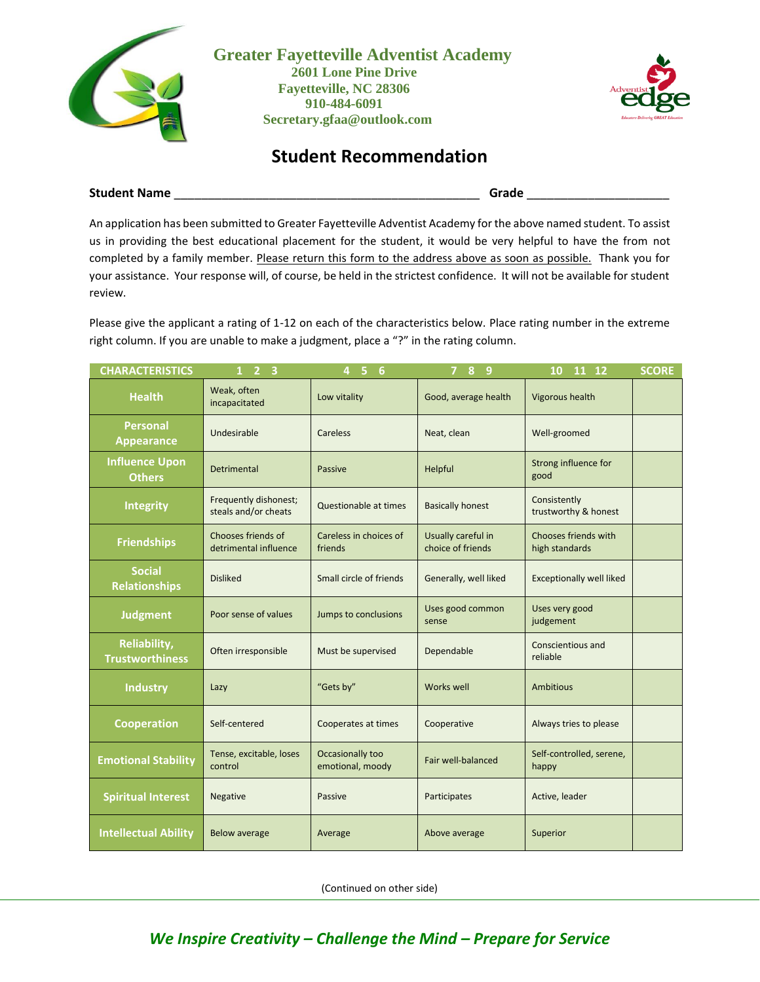

**Greater Fayetteville Adventist Academy 2601 Lone Pine Drive Fayetteville, NC 28306 910-484-6091 Secretary.gfaa@outlook.com**



## **Student Recommendation**

**Student Name** \_\_\_\_\_\_\_\_\_\_\_\_\_\_\_\_\_\_\_\_\_\_\_\_\_\_\_\_\_\_\_\_\_\_\_\_\_\_\_\_\_\_\_\_\_ **Grade** \_\_\_\_\_\_\_\_\_\_\_\_\_\_\_\_\_\_\_\_\_

An application has been submitted to Greater Fayetteville Adventist Academy for the above named student. To assist us in providing the best educational placement for the student, it would be very helpful to have the from not completed by a family member. Please return this form to the address above as soon as possible. Thank you for your assistance. Your response will, of course, be held in the strictest confidence. It will not be available for student review.

Please give the applicant a rating of 1-12 on each of the characteristics below. Place rating number in the extreme right column. If you are unable to make a judgment, place a "?" in the rating column.

| <b>CHARACTERISTICS</b>                        | $1 \quad 2 \quad 3$                           | 4 <sub>5</sub><br>6                  | 8 9                                     | 11 12<br>10                            | <b>SCORE</b> |
|-----------------------------------------------|-----------------------------------------------|--------------------------------------|-----------------------------------------|----------------------------------------|--------------|
| <b>Health</b>                                 | Weak, often<br>incapacitated                  | Low vitality                         | Good, average health                    | <b>Vigorous health</b>                 |              |
| <b>Personal</b><br><b>Appearance</b>          | Undesirable                                   | Careless                             | Neat, clean                             | Well-groomed                           |              |
| <b>Influence Upon</b><br><b>Others</b>        | Detrimental                                   | Passive                              | Helpful                                 | Strong influence for<br>good           |              |
| <b>Integrity</b>                              | Frequently dishonest;<br>steals and/or cheats | Questionable at times                | <b>Basically honest</b>                 | Consistently<br>trustworthy & honest   |              |
| <b>Friendships</b>                            | Chooses friends of<br>detrimental influence   | Careless in choices of<br>friends    | Usually careful in<br>choice of friends | Chooses friends with<br>high standards |              |
| <b>Social</b><br><b>Relationships</b>         | <b>Disliked</b>                               | Small circle of friends              | Generally, well liked                   | <b>Exceptionally well liked</b>        |              |
| <b>Judgment</b>                               | Poor sense of values                          | Jumps to conclusions                 | Uses good common<br>sense               | Uses very good<br>judgement            |              |
| <b>Reliability,</b><br><b>Trustworthiness</b> | Often irresponsible                           | Must be supervised                   | Dependable                              | Conscientious and<br>reliable          |              |
| <b>Industry</b>                               | Lazy                                          | "Gets by"                            | <b>Works well</b>                       | <b>Ambitious</b>                       |              |
| <b>Cooperation</b>                            | Self-centered                                 | Cooperates at times                  | Cooperative                             | Always tries to please                 |              |
| <b>Emotional Stability</b>                    | Tense, excitable, loses<br>control            | Occasionally too<br>emotional, moody | Fair well-balanced                      | Self-controlled, serene,<br>happy      |              |
| <b>Spiritual Interest</b>                     | Negative                                      | Passive                              | Participates                            | Active, leader                         |              |
| <b>Intellectual Ability</b>                   | <b>Below average</b>                          | Average                              | Above average                           | Superior                               |              |

(Continued on other side)

## *We Inspire Creativity – Challenge the Mind – Prepare for Service*